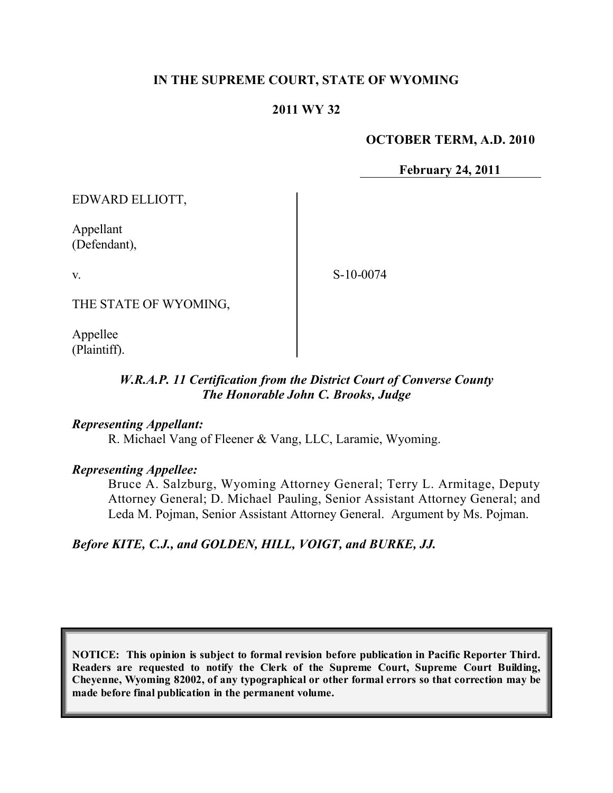## **IN THE SUPREME COURT, STATE OF WYOMING**

### **2011 WY 32**

#### **OCTOBER TERM, A.D. 2010**

**February 24, 2011**

EDWARD ELLIOTT,

Appellant (Defendant),

v.

S-10-0074

THE STATE OF WYOMING,

Appellee (Plaintiff).

## *W.R.A.P. 11 Certification from the District Court of Converse County The Honorable John C. Brooks, Judge*

#### *Representing Appellant:*

R. Michael Vang of Fleener & Vang, LLC, Laramie, Wyoming.

#### *Representing Appellee:*

Bruce A. Salzburg, Wyoming Attorney General; Terry L. Armitage, Deputy Attorney General; D. Michael Pauling, Senior Assistant Attorney General; and Leda M. Pojman, Senior Assistant Attorney General. Argument by Ms. Pojman.

#### *Before KITE, C.J., and GOLDEN, HILL, VOIGT, and BURKE, JJ.*

**NOTICE: This opinion is subject to formal revision before publication in Pacific Reporter Third. Readers are requested to notify the Clerk of the Supreme Court, Supreme Court Building, Cheyenne, Wyoming 82002, of any typographical or other formal errors so that correction may be made before final publication in the permanent volume.**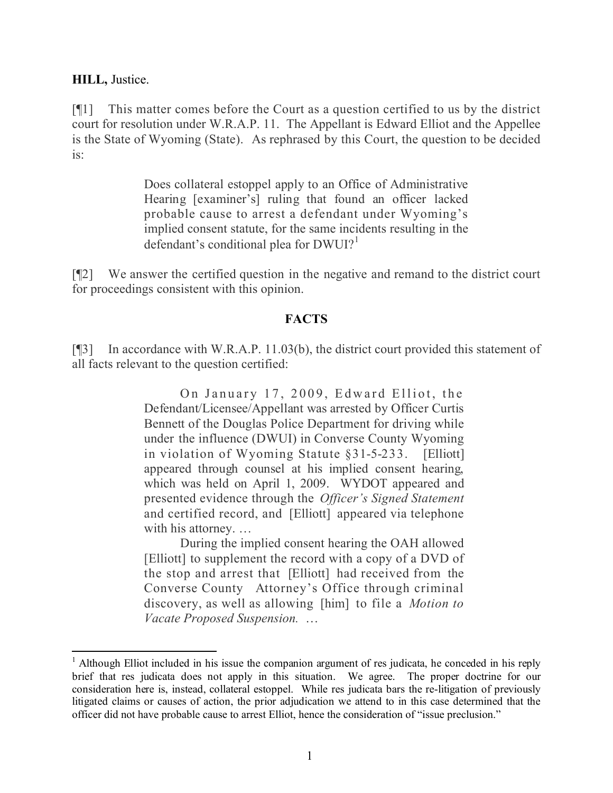#### **HILL,** Justice.

[¶1] This matter comes before the Court as a question certified to us by the district court for resolution under W.R.A.P. 11. The Appellant is Edward Elliot and the Appellee is the State of Wyoming (State). As rephrased by this Court, the question to be decided is:

> Does collateral estoppel apply to an Office of Administrative Hearing [examiner's] ruling that found an officer lacked probable cause to arrest a defendant under Wyoming's implied consent statute, for the same incidents resulting in the defendant's conditional plea for  $DWUI$ <sup>1</sup>

[¶2] We answer the certified question in the negative and remand to the district court for proceedings consistent with this opinion.

### **FACTS**

[¶3] In accordance with W.R.A.P. 11.03(b), the district court provided this statement of all facts relevant to the question certified:

> On January 17, 2009, Edward Elliot, the Defendant/Licensee/Appellant was arrested by Officer Curtis Bennett of the Douglas Police Department for driving while under the influence (DWUI) in Converse County Wyoming in violation of Wyoming Statute §31-5-233. [Elliott] appeared through counsel at his implied consent hearing, which was held on April 1, 2009. WYDOT appeared and presented evidence through the *Officer's Signed Statement*  and certified record, and [Elliott] appeared via telephone with his attorney. …

> During the implied consent hearing the OAH allowed [Elliott] to supplement the record with a copy of a DVD of the stop and arrest that [Elliott] had received from the Converse County Attorney's Office through criminal discovery, as well as allowing [him] to file a *Motion to Vacate Proposed Suspension.* …

 $\overline{a}$ 

 $1$  Although Elliot included in his issue the companion argument of res judicata, he conceded in his reply brief that res judicata does not apply in this situation. We agree. The proper doctrine for our consideration here is, instead, collateral estoppel. While res judicata bars the re-litigation of previously litigated claims or causes of action, the prior adjudication we attend to in this case determined that the officer did not have probable cause to arrest Elliot, hence the consideration of "issue preclusion."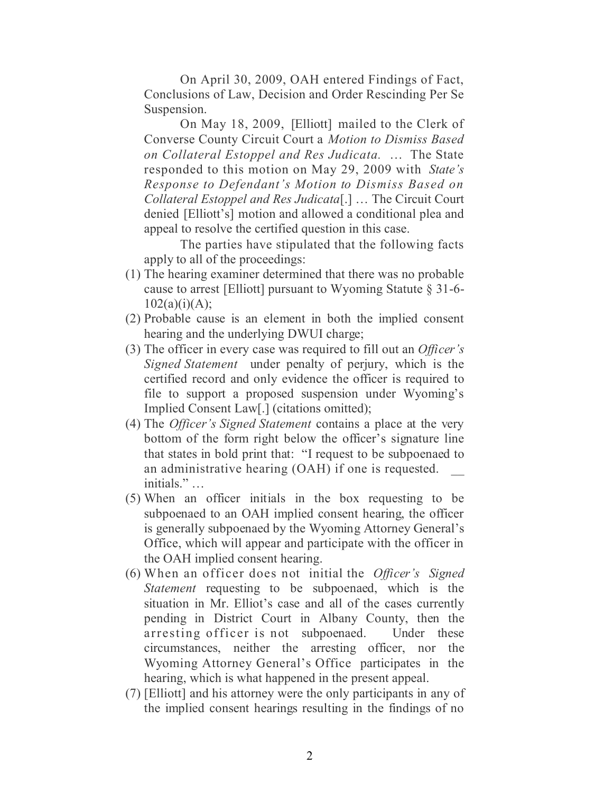On April 30, 2009, OAH entered Findings of Fact, Conclusions of Law, Decision and Order Rescinding Per Se Suspension.

On May 18, 2009, [Elliott] mailed to the Clerk of Converse County Circuit Court a *Motion to Dismiss Based on Collateral Estoppel and Res Judicata.* … The State responded to this motion on May 29, 2009 with *State's Response to Defendant's Motion to Dismiss Based on Collateral Estoppel and Res Judicata*[.] … The Circuit Court denied [Elliott's] motion and allowed a conditional plea and appeal to resolve the certified question in this case.

The parties have stipulated that the following facts apply to all of the proceedings:

- (1) The hearing examiner determined that there was no probable cause to arrest [Elliott] pursuant to Wyoming Statute § 31-6-  $102(a)(i)(A);$
- (2) Probable cause is an element in both the implied consent hearing and the underlying DWUI charge;
- (3) The officer in every case was required to fill out an *Officer's Signed Statement* under penalty of perjury, which is the certified record and only evidence the officer is required to file to support a proposed suspension under Wyoming's Implied Consent Law[.] (citations omitted);
- (4) The *Officer's Signed Statement* contains a place at the very bottom of the form right below the officer's signature line that states in bold print that: "I request to be subpoenaed to an administrative hearing (OAH) if one is requested. initials." …
- (5) When an officer initials in the box requesting to be subpoenaed to an OAH implied consent hearing, the officer is generally subpoenaed by the Wyoming Attorney General's Office, which will appear and participate with the officer in the OAH implied consent hearing.
- (6) When an officer does not initial the *Officer's Signed Statement* requesting to be subpoenaed, which is the situation in Mr. Elliot's case and all of the cases currently pending in District Court in Albany County, then the arresting officer is not subpoenaed. Under these circumstances, neither the arresting officer, nor the Wyoming Attorney General's Office participates in the hearing, which is what happened in the present appeal.
- (7) [Elliott] and his attorney were the only participants in any of the implied consent hearings resulting in the findings of no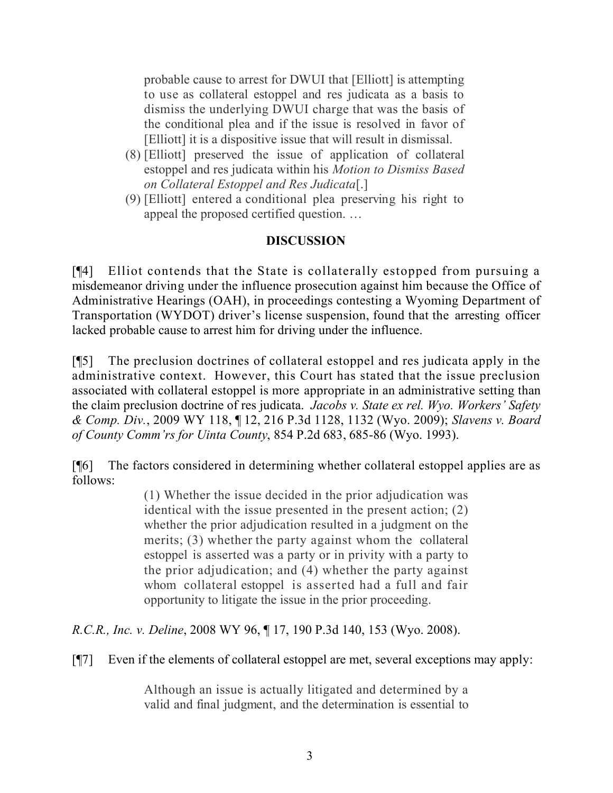probable cause to arrest for DWUI that [Elliott] is attempting to use as collateral estoppel and res judicata as a basis to dismiss the underlying DWUI charge that was the basis of the conditional plea and if the issue is resolved in favor of [Elliott] it is a dispositive issue that will result in dismissal.

- (8) [Elliott] preserved the issue of application of collateral estoppel and res judicata within his *Motion to Dismiss Based on Collateral Estoppel and Res Judicata*[.]
- (9) [Elliott] entered a conditional plea preserving his right to appeal the proposed certified question. …

## **DISCUSSION**

[¶4] Elliot contends that the State is collaterally estopped from pursuing a misdemeanor driving under the influence prosecution against him because the Office of Administrative Hearings (OAH), in proceedings contesting a Wyoming Department of Transportation (WYDOT) driver's license suspension, found that the arresting officer lacked probable cause to arrest him for driving under the influence.

[¶5] The preclusion doctrines of collateral estoppel and res judicata apply in the administrative context. However, this Court has stated that the issue preclusion associated with collateral estoppel is more appropriate in an administrative setting than the claim preclusion doctrine of res judicata. *Jacobs v. State ex rel. Wyo. Workers' Safety & Comp. Div.*, 2009 WY 118, ¶ 12, 216 P.3d 1128, 1132 (Wyo. 2009); *Slavens v. Board of County Comm'rs for Uinta County*, 854 P.2d 683, 685-86 (Wyo. 1993).

[¶6] The factors considered in determining whether collateral estoppel applies are as follows:

> (1) Whether the issue decided in the prior adjudication was identical with the issue presented in the present action; (2) whether the prior adjudication resulted in a judgment on the merits; (3) whether the party against whom the collateral estoppel is asserted was a party or in privity with a party to the prior adjudication; and (4) whether the party against whom collateral estoppel is asserted had a full and fair opportunity to litigate the issue in the prior proceeding.

*R.C.R., Inc. v. Deline*, 2008 WY 96, ¶ 17, 190 P.3d 140, 153 (Wyo. 2008).

[¶7] Even if the elements of collateral estoppel are met, several exceptions may apply:

Although an issue is actually litigated and determined by a valid and final judgment, and the determination is essential to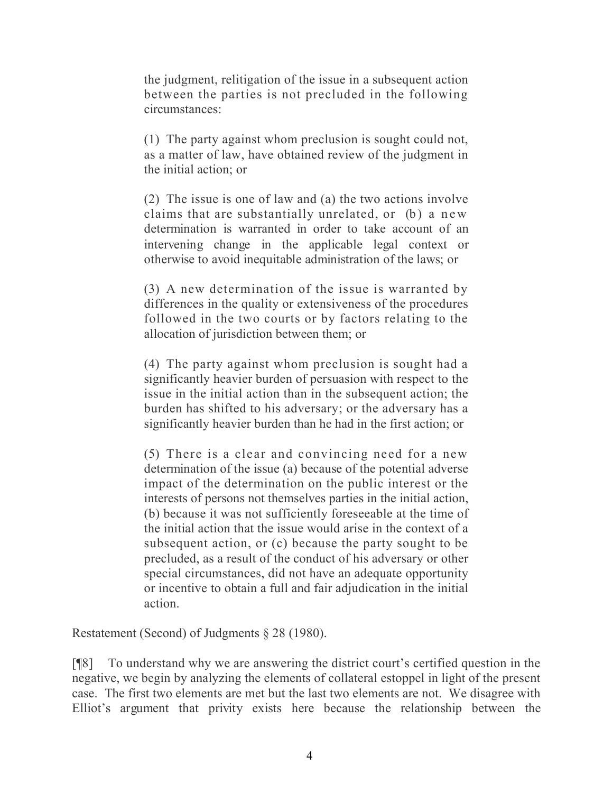the judgment, relitigation of the issue in a subsequent action between the parties is not precluded in the following circumstances:

(1) The party against whom preclusion is sought could not, as a matter of law, have obtained review of the judgment in the initial action; or

(2) The issue is one of law and (a) the two actions involve claims that are substantially unrelated, or (b) a new determination is warranted in order to take account of an intervening change in the applicable legal context or otherwise to avoid inequitable administration of the laws; or

(3) A new determination of the issue is warranted by differences in the quality or extensiveness of the procedures followed in the two courts or by factors relating to the allocation of jurisdiction between them; or

(4) The party against whom preclusion is sought had a significantly heavier burden of persuasion with respect to the issue in the initial action than in the subsequent action; the burden has shifted to his adversary; or the adversary has a significantly heavier burden than he had in the first action; or

(5) There is a clear and convincing need for a new determination of the issue (a) because of the potential adverse impact of the determination on the public interest or the interests of persons not themselves parties in the initial action, (b) because it was not sufficiently foreseeable at the time of the initial action that the issue would arise in the context of a subsequent action, or (c) because the party sought to be precluded, as a result of the conduct of his adversary or other special circumstances, did not have an adequate opportunity or incentive to obtain a full and fair adjudication in the initial action.

Restatement (Second) of Judgments § 28 (1980).

[¶8] To understand why we are answering the district court's certified question in the negative, we begin by analyzing the elements of collateral estoppel in light of the present case. The first two elements are met but the last two elements are not. We disagree with Elliot's argument that privity exists here because the relationship between the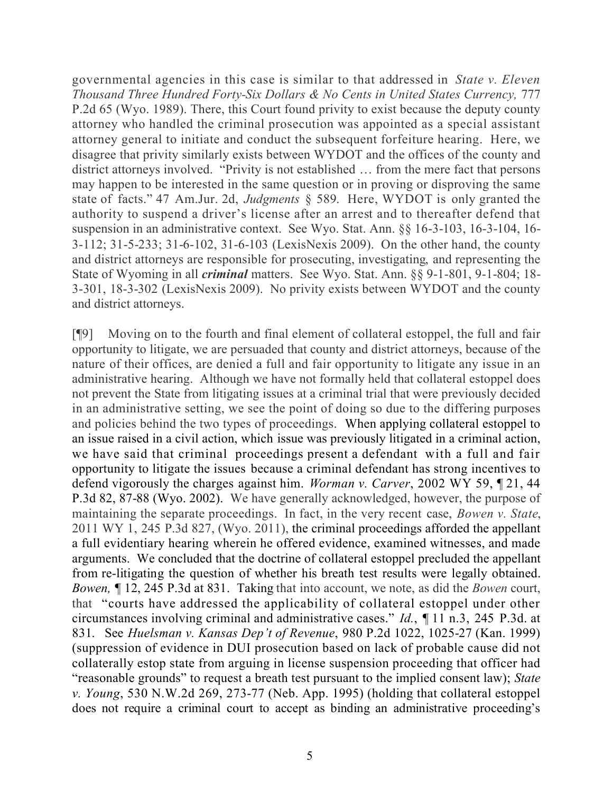governmental agencies in this case is similar to that addressed in *State v. Eleven Thousand Three Hundred Forty-Six Dollars & No Cents in United States Currency,* 777 P.2d 65 (Wyo. 1989). There, this Court found privity to exist because the deputy county attorney who handled the criminal prosecution was appointed as a special assistant attorney general to initiate and conduct the subsequent forfeiture hearing. Here, we disagree that privity similarly exists between WYDOT and the offices of the county and district attorneys involved. "Privity is not established … from the mere fact that persons may happen to be interested in the same question or in proving or disproving the same state of facts." 47 Am.Jur. 2d, *Judgments* § 589. Here, WYDOT is only granted the authority to suspend a driver's license after an arrest and to thereafter defend that suspension in an administrative context. See Wyo. Stat. Ann. §§ 16-3-103, 16-3-104, 16- 3-112; 31-5-233; 31-6-102, 31-6-103 (LexisNexis 2009). On the other hand, the county and district attorneys are responsible for prosecuting, investigating, and representing the State of Wyoming in all *criminal* matters. See Wyo. Stat. Ann. §§ 9-1-801, 9-1-804; 18- 3-301, 18-3-302 (LexisNexis 2009). No privity exists between WYDOT and the county and district attorneys.

[¶9] Moving on to the fourth and final element of collateral estoppel, the full and fair opportunity to litigate, we are persuaded that county and district attorneys, because of the nature of their offices, are denied a full and fair opportunity to litigate any issue in an administrative hearing. Although we have not formally held that collateral estoppel does not prevent the State from litigating issues at a criminal trial that were previously decided in an administrative setting, we see the point of doing so due to the differing purposes and policies behind the two types of proceedings. When applying collateral estoppel to an issue raised in a civil action, which issue was previously litigated in a criminal action, we have said that criminal proceedings present a defendant with a full and fair opportunity to litigate the issues because a criminal defendant has strong incentives to defend vigorously the charges against him. *Worman v. Carver*, 2002 WY 59, ¶ 21, 44 P.3d 82, 87-88 (Wyo. 2002). We have generally acknowledged, however, the purpose of maintaining the separate proceedings. In fact, in the very recent case, *Bowen v. State*, 2011 WY 1, 245 P.3d 827, (Wyo. 2011), the criminal proceedings afforded the appellant a full evidentiary hearing wherein he offered evidence, examined witnesses, and made arguments. We concluded that the doctrine of collateral estoppel precluded the appellant from re-litigating the question of whether his breath test results were legally obtained. *Bowen, ¶* 12, 245 P.3d at 831. Taking that into account, we note, as did the *Bowen* court, that "courts have addressed the applicability of collateral estoppel under other circumstances involving criminal and administrative cases." *Id.*, ¶ 11 n.3, 245 P.3d. at 831. See *Huelsman v. Kansas Dep't of Revenue*, 980 P.2d 1022, 1025-27 (Kan. 1999) (suppression of evidence in DUI prosecution based on lack of probable cause did not collaterally estop state from arguing in license suspension proceeding that officer had "reasonable grounds" to request a breath test pursuant to the implied consent law); *State v. Young*, 530 N.W.2d 269, 273-77 (Neb. App. 1995) (holding that collateral estoppel does not require a criminal court to accept as binding an administrative proceeding's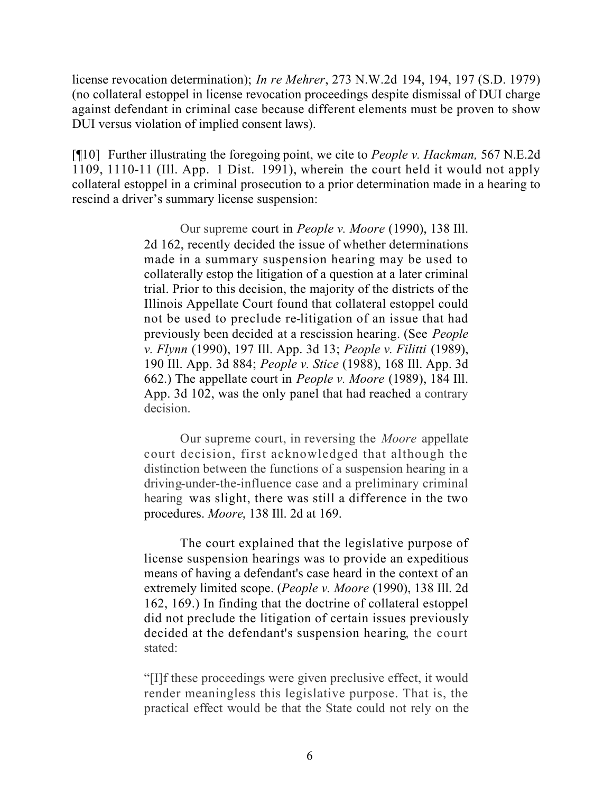license revocation determination); *In re Mehrer*, 273 N.W.2d 194, 194, 197 (S.D. 1979) (no collateral estoppel in license revocation proceedings despite dismissal of DUI charge against defendant in criminal case because different elements must be proven to show DUI versus violation of implied consent laws).

[¶10] Further illustrating the foregoing point, we cite to *People v. Hackman,* 567 N.E.2d 1109, 1110-11 (Ill. App. 1 Dist. 1991), wherein the court held it would not apply collateral estoppel in a criminal prosecution to a prior determination made in a hearing to rescind a driver's summary license suspension:

> Our supreme court in *People v. Moore* (1990), 138 Ill. 2d 162, recently decided the issue of whether determinations made in a summary suspension hearing may be used to collaterally estop the litigation of a question at a later criminal trial. Prior to this decision, the majority of the districts of the Illinois Appellate Court found that collateral estoppel could not be used to preclude re-litigation of an issue that had previously been decided at a rescission hearing. (See *People v. Flynn* (1990), 197 Ill. App. 3d 13; *People v. Filitti* (1989), 190 Ill. App. 3d 884; *People v. Stice* (1988), 168 Ill. App. 3d 662.) The appellate court in *People v. Moore* (1989), 184 Ill. App. 3d 102, was the only panel that had reached a contrary decision.

> Our supreme court, in reversing the *Moore* appellate court decision, first acknowledged that although the distinction between the functions of a suspension hearing in a driving-under-the-influence case and a preliminary criminal hearing was slight, there was still a difference in the two procedures. *Moore*, 138 Ill. 2d at 169.

> The court explained that the legislative purpose of license suspension hearings was to provide an expeditious means of having a defendant's case heard in the context of an extremely limited scope. (*People v. Moore* (1990), 138 Ill. 2d 162, 169.) In finding that the doctrine of collateral estoppel did not preclude the litigation of certain issues previously decided at the defendant's suspension hearing, the court stated:

> "[I]f these proceedings were given preclusive effect, it would render meaningless this legislative purpose. That is, the practical effect would be that the State could not rely on the